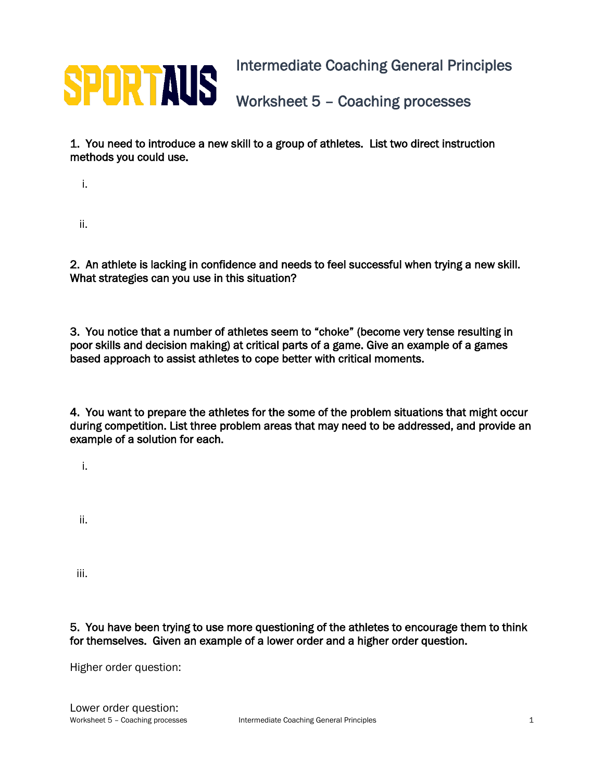

1. You need to introduce a new skill to a group of athletes. List two direct instruction methods you could use.

i.

ii.

2. An athlete is lacking in confidence and needs to feel successful when trying a new skill. What strategies can you use in this situation?

3. You notice that a number of athletes seem to "choke" (become very tense resulting in poor skills and decision making) at critical parts of a game. Give an example of a games based approach to assist athletes to cope better with critical moments.

4. You want to prepare the athletes for the some of the problem situations that might occur during competition. List three problem areas that may need to be addressed, and provide an example of a solution for each.

i.

ii.

iii.

5. You have been trying to use more questioning of the athletes to encourage them to think for themselves. Given an example of a lower order and a higher order question.

Higher order question: